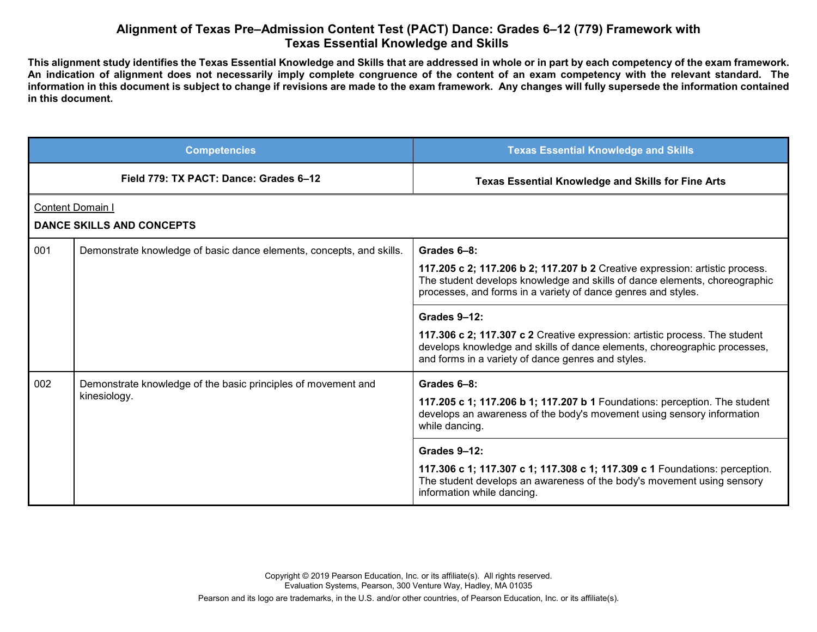## **Alignment of Texas Pre–Admission Content Test (PACT) Dance: Grades 6–12 (779) Framework with Texas Essential Knowledge and Skills**

**This alignment study identifies the Texas Essential Knowledge and Skills that are addressed in whole or in part by each competency of the exam framework. An indication of alignment does not necessarily imply complete congruence of the content of an exam competency with the relevant standard. The information in this document is subject to change if revisions are made to the exam framework. Any changes will fully supersede the information contained in this document.**

|                                                             | <b>Competencies</b>                                                           | <b>Texas Essential Knowledge and Skills</b>                                                                                                                                                                                                                                                                                                                                                                                                                                  |  |  |
|-------------------------------------------------------------|-------------------------------------------------------------------------------|------------------------------------------------------------------------------------------------------------------------------------------------------------------------------------------------------------------------------------------------------------------------------------------------------------------------------------------------------------------------------------------------------------------------------------------------------------------------------|--|--|
|                                                             | Field 779: TX PACT: Dance: Grades 6-12                                        | <b>Texas Essential Knowledge and Skills for Fine Arts</b>                                                                                                                                                                                                                                                                                                                                                                                                                    |  |  |
| <b>Content Domain I</b><br><b>DANCE SKILLS AND CONCEPTS</b> |                                                                               |                                                                                                                                                                                                                                                                                                                                                                                                                                                                              |  |  |
| 001                                                         | Demonstrate knowledge of basic dance elements, concepts, and skills.          | Grades 6-8:<br>117.205 c 2; 117.206 b 2; 117.207 b 2 Creative expression: artistic process.<br>The student develops knowledge and skills of dance elements, choreographic<br>processes, and forms in a variety of dance genres and styles.<br>Grades 9-12:<br>117.306 c 2; 117.307 c 2 Creative expression: artistic process. The student<br>develops knowledge and skills of dance elements, choreographic processes,<br>and forms in a variety of dance genres and styles. |  |  |
| 002                                                         | Demonstrate knowledge of the basic principles of movement and<br>kinesiology. | Grades 6-8:<br>117.205 c 1; 117.206 b 1; 117.207 b 1 Foundations: perception. The student<br>develops an awareness of the body's movement using sensory information<br>while dancing.<br>Grades 9-12:<br>117.306 c 1; 117.307 c 1; 117.308 c 1; 117.309 c 1 Foundations: perception.<br>The student develops an awareness of the body's movement using sensory<br>information while dancing.                                                                                 |  |  |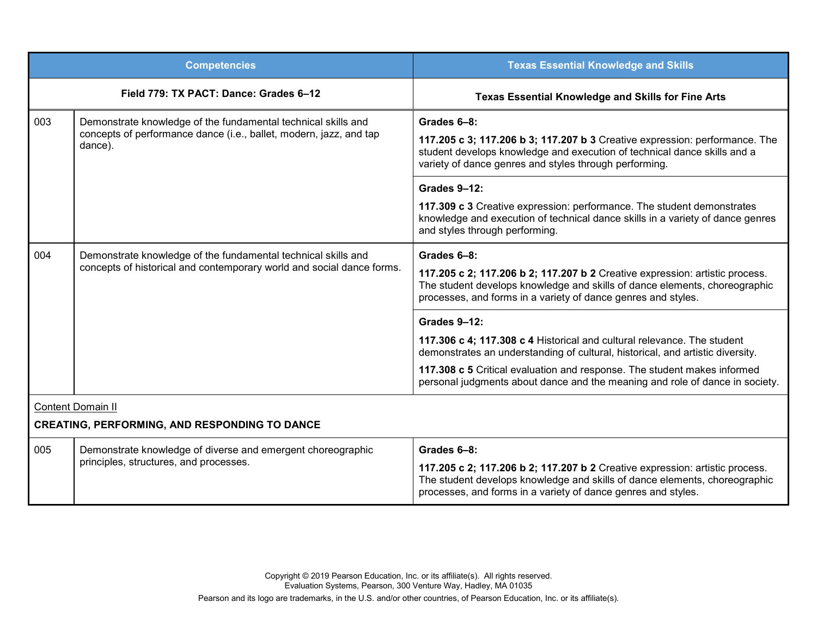| <b>Competencies</b>                                                              |                                                                                                                                                | <b>Texas Essential Knowledge and Skills</b>                                                                                                                                                                                                                                                                                                                                                                                                    |  |
|----------------------------------------------------------------------------------|------------------------------------------------------------------------------------------------------------------------------------------------|------------------------------------------------------------------------------------------------------------------------------------------------------------------------------------------------------------------------------------------------------------------------------------------------------------------------------------------------------------------------------------------------------------------------------------------------|--|
|                                                                                  | Field 779: TX PACT: Dance: Grades 6-12                                                                                                         | <b>Texas Essential Knowledge and Skills for Fine Arts</b>                                                                                                                                                                                                                                                                                                                                                                                      |  |
| 003                                                                              | Demonstrate knowledge of the fundamental technical skills and<br>concepts of performance dance (i.e., ballet, modern, jazz, and tap<br>dance). | Grades 6-8:<br>117.205 c 3; 117.206 b 3; 117.207 b 3 Creative expression: performance. The<br>student develops knowledge and execution of technical dance skills and a<br>variety of dance genres and styles through performing.<br>Grades 9-12:<br>117.309 c 3 Creative expression: performance. The student demonstrates<br>knowledge and execution of technical dance skills in a variety of dance genres<br>and styles through performing. |  |
| 004                                                                              | Demonstrate knowledge of the fundamental technical skills and<br>concepts of historical and contemporary world and social dance forms.         | Grades 6-8:<br>117.205 c 2; 117.206 b 2; 117.207 b 2 Creative expression: artistic process.<br>The student develops knowledge and skills of dance elements, choreographic<br>processes, and forms in a variety of dance genres and styles.                                                                                                                                                                                                     |  |
|                                                                                  |                                                                                                                                                | <b>Grades 9-12:</b><br>117.306 c 4; 117.308 c 4 Historical and cultural relevance. The student<br>demonstrates an understanding of cultural, historical, and artistic diversity.<br>117.308 c 5 Critical evaluation and response. The student makes informed<br>personal judgments about dance and the meaning and role of dance in society.                                                                                                   |  |
| <b>Content Domain II</b><br><b>CREATING, PERFORMING, AND RESPONDING TO DANCE</b> |                                                                                                                                                |                                                                                                                                                                                                                                                                                                                                                                                                                                                |  |
| 005                                                                              | Demonstrate knowledge of diverse and emergent choreographic<br>principles, structures, and processes.                                          | Grades 6-8:<br>117.205 c 2; 117.206 b 2; 117.207 b 2 Creative expression: artistic process.<br>The student develops knowledge and skills of dance elements, choreographic<br>processes, and forms in a variety of dance genres and styles.                                                                                                                                                                                                     |  |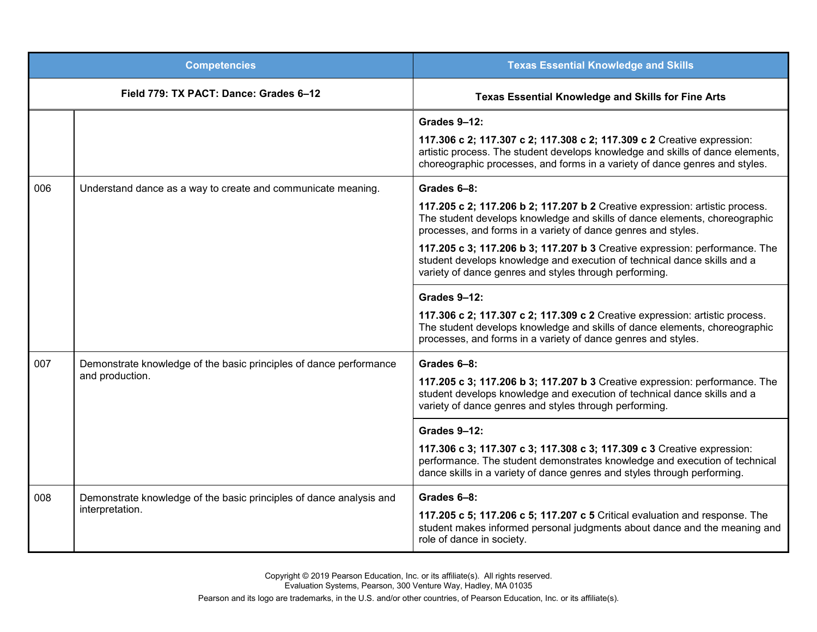| <b>Competencies</b>                    |                                                                                        | <b>Texas Essential Knowledge and Skills</b>                                                                                                                                                                                                                                                                               |
|----------------------------------------|----------------------------------------------------------------------------------------|---------------------------------------------------------------------------------------------------------------------------------------------------------------------------------------------------------------------------------------------------------------------------------------------------------------------------|
| Field 779: TX PACT: Dance: Grades 6-12 |                                                                                        | Texas Essential Knowledge and Skills for Fine Arts                                                                                                                                                                                                                                                                        |
|                                        |                                                                                        | <b>Grades 9-12:</b><br>117.306 c 2; 117.307 c 2; 117.308 c 2; 117.309 c 2 Creative expression:<br>artistic process. The student develops knowledge and skills of dance elements,<br>choreographic processes, and forms in a variety of dance genres and styles.                                                           |
| 006                                    | Understand dance as a way to create and communicate meaning.                           | Grades 6-8:<br>117.205 c 2; 117.206 b 2; 117.207 b 2 Creative expression: artistic process.<br>The student develops knowledge and skills of dance elements, choreographic<br>processes, and forms in a variety of dance genres and styles.<br>117.205 c 3; 117.206 b 3; 117.207 b 3 Creative expression: performance. The |
|                                        |                                                                                        | student develops knowledge and execution of technical dance skills and a<br>variety of dance genres and styles through performing.                                                                                                                                                                                        |
|                                        |                                                                                        | <b>Grades 9-12:</b><br>117.306 c 2; 117.307 c 2; 117.309 c 2 Creative expression: artistic process.<br>The student develops knowledge and skills of dance elements, choreographic<br>processes, and forms in a variety of dance genres and styles.                                                                        |
| 007                                    | Demonstrate knowledge of the basic principles of dance performance<br>and production.  | Grades 6-8:<br>117.205 c 3; 117.206 b 3; 117.207 b 3 Creative expression: performance. The<br>student develops knowledge and execution of technical dance skills and a<br>variety of dance genres and styles through performing.                                                                                          |
|                                        |                                                                                        | <b>Grades 9-12:</b><br>117.306 c 3; 117.307 c 3; 117.308 c 3; 117.309 c 3 Creative expression:<br>performance. The student demonstrates knowledge and execution of technical<br>dance skills in a variety of dance genres and styles through performing.                                                                  |
| 008                                    | Demonstrate knowledge of the basic principles of dance analysis and<br>interpretation. | Grades 6-8:<br>117.205 c 5; 117.206 c 5; 117.207 c 5 Critical evaluation and response. The<br>student makes informed personal judgments about dance and the meaning and<br>role of dance in society.                                                                                                                      |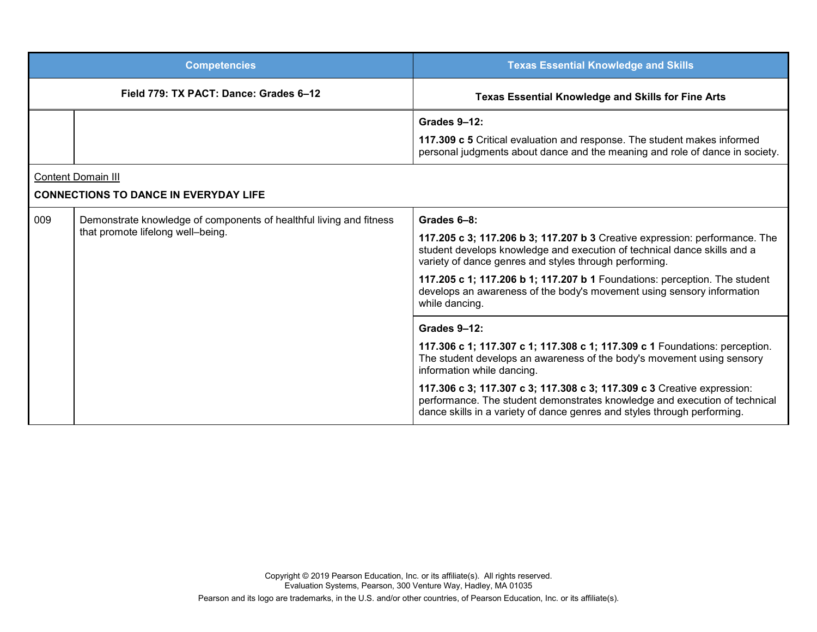| <b>Competencies</b>                          |                                                                                                          | <b>Texas Essential Knowledge and Skills</b>                                                                                                                                                                                       |  |
|----------------------------------------------|----------------------------------------------------------------------------------------------------------|-----------------------------------------------------------------------------------------------------------------------------------------------------------------------------------------------------------------------------------|--|
| Field 779: TX PACT: Dance: Grades 6-12       |                                                                                                          | <b>Texas Essential Knowledge and Skills for Fine Arts</b>                                                                                                                                                                         |  |
|                                              |                                                                                                          | Grades 9-12:                                                                                                                                                                                                                      |  |
|                                              |                                                                                                          | 117.309 c 5 Critical evaluation and response. The student makes informed<br>personal judgments about dance and the meaning and role of dance in society.                                                                          |  |
| <b>Content Domain III</b>                    |                                                                                                          |                                                                                                                                                                                                                                   |  |
| <b>CONNECTIONS TO DANCE IN EVERYDAY LIFE</b> |                                                                                                          |                                                                                                                                                                                                                                   |  |
| 009                                          | Demonstrate knowledge of components of healthful living and fitness<br>that promote lifelong well-being. | Grades 6-8:                                                                                                                                                                                                                       |  |
|                                              |                                                                                                          | 117.205 c 3; 117.206 b 3; 117.207 b 3 Creative expression: performance. The<br>student develops knowledge and execution of technical dance skills and a<br>variety of dance genres and styles through performing.                 |  |
|                                              |                                                                                                          | 117.205 c 1; 117.206 b 1; 117.207 b 1 Foundations: perception. The student<br>develops an awareness of the body's movement using sensory information<br>while dancing.                                                            |  |
|                                              |                                                                                                          | Grades 9-12:                                                                                                                                                                                                                      |  |
|                                              |                                                                                                          | 117.306 c 1; 117.307 c 1; 117.308 c 1; 117.309 c 1 Foundations: perception.<br>The student develops an awareness of the body's movement using sensory<br>information while dancing.                                               |  |
|                                              |                                                                                                          | 117.306 c 3; 117.307 c 3; 117.308 c 3; 117.309 c 3 Creative expression:<br>performance. The student demonstrates knowledge and execution of technical<br>dance skills in a variety of dance genres and styles through performing. |  |